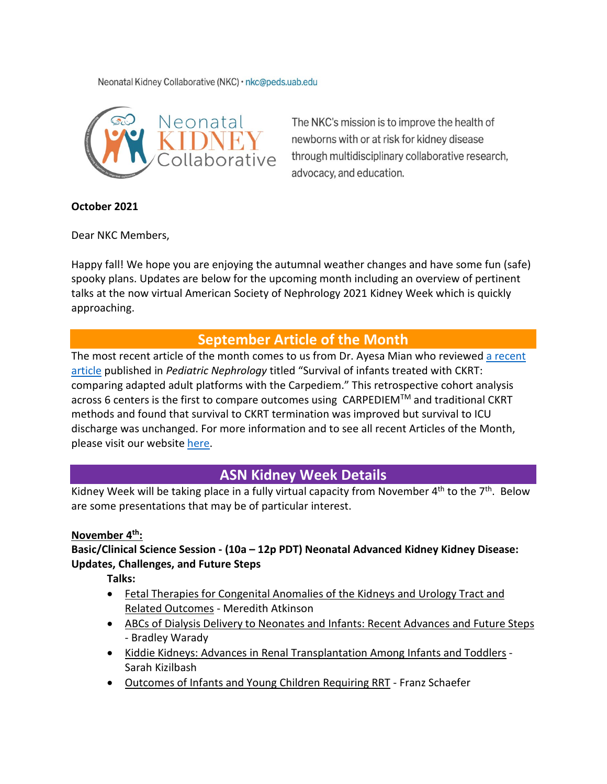Neonatal Kidney Collaborative (NKC) · nkc@peds.uab.edu



The NKC's mission is to improve the health of newborns with or at risk for kidney disease through multidisciplinary collaborative research, advocacy, and education.

#### **October 2021**

Dear NKC Members,

Happy fall! We hope you are enjoying the autumnal weather changes and have some fun (safe) spooky plans. Updates are below for the upcoming month including an overview of pertinent talks at the now virtual American Society of Nephrology 2021 Kidney Week which is quickly approaching.

## **September Article of the Month**

The most recent article of the month comes to us from Dr. Ayesa Mian who reviewed a recent [article](https://link.springer.com/article/10.1007%2Fs00467-021-05180-y) published in *Pediatric Nephrology* titled "Survival of infants treated with CKRT: comparing adapted adult platforms with the Carpediem." This retrospective cohort analysis across 6 centers is the first to compare outcomes using CARPEDIEMTM and traditional CKRT methods and found that survival to CKRT termination was improved but survival to ICU discharge was unchanged. For more information and to see all recent Articles of the Month, please visit our website [here.](https://babykidney.org/education/articles/aug2021)

# **ASN Kidney Week Details**

Kidney Week will be taking place in a fully virtual capacity from November  $4^{th}$  to the  $7^{th}$ . Below are some presentations that may be of particular interest.

#### **November 4th:**

#### **Basic/Clinical Science Session - (10a – 12p PDT) Neonatal Advanced Kidney Kidney Disease: Updates, Challenges, and Future Steps**

**Talks:**

- Fetal Therapies for Congenital Anomalies of the Kidneys and Urology Tract and Related Outcomes - Meredith Atkinson
- ABCs of Dialysis Delivery to Neonates and Infants: Recent Advances and Future Steps - Bradley Warady
- Kiddie Kidneys: Advances in Renal Transplantation Among Infants and Toddlers Sarah Kizilbash
- Outcomes of Infants and Young Children Requiring RRT Franz Schaefer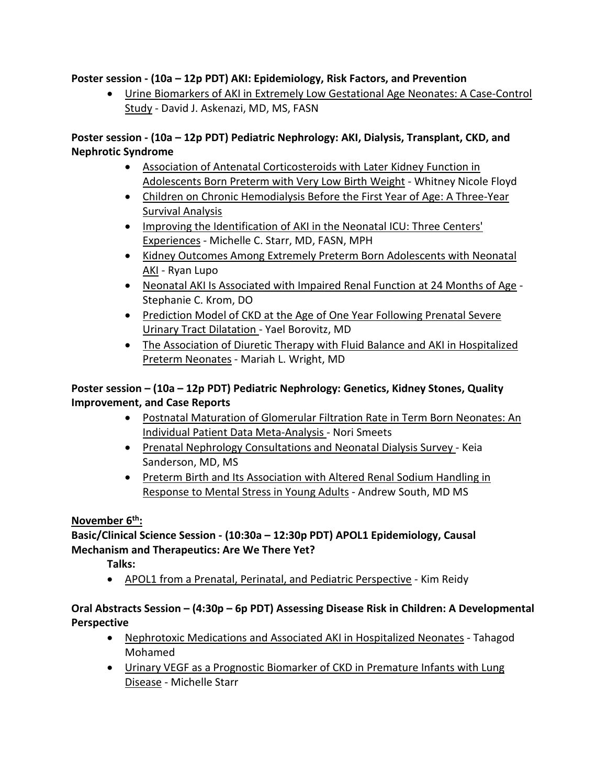#### **Poster session - (10a – 12p PDT) AKI: Epidemiology, Risk Factors, and Prevention**

• Urine Biomarkers of AKI in Extremely Low Gestational Age Neonates: A Case-Control Study - David J. Askenazi, MD, MS, FASN

#### **Poster session - (10a – 12p PDT) Pediatric Nephrology: AKI, Dialysis, Transplant, CKD, and Nephrotic Syndrome**

- Association of Antenatal Corticosteroids with Later Kidney Function in Adolescents Born Preterm with Very Low Birth Weight - Whitney Nicole Floyd
- Children on Chronic Hemodialysis Before the First Year of Age: A Three-Year Survival Analysis
- Improving the Identification of AKI in the Neonatal ICU: Three Centers' Experiences - Michelle C. Starr, MD, FASN, MPH
- Kidney Outcomes Among Extremely Preterm Born Adolescents with Neonatal AKI - Ryan Lupo
- Neonatal AKI Is Associated with Impaired Renal Function at 24 Months of Age Stephanie C. Krom, DO
- Prediction Model of CKD at the Age of One Year Following Prenatal Severe Urinary Tract Dilatation - Yael Borovitz, MD
- The Association of Diuretic Therapy with Fluid Balance and AKI in Hospitalized Preterm Neonates - Mariah L. Wright, MD

## **Poster session – (10a – 12p PDT) Pediatric Nephrology: Genetics, Kidney Stones, Quality Improvement, and Case Reports**

- Postnatal Maturation of Glomerular Filtration Rate in Term Born Neonates: An Individual Patient Data Meta-Analysis - Nori Smeets
- Prenatal Nephrology Consultations and Neonatal Dialysis Survey Keia Sanderson, MD, MS
- Preterm Birth and Its Association with Altered Renal Sodium Handling in Response to Mental Stress in Young Adults - Andrew South, MD MS

## **November 6th:**

## **Basic/Clinical Science Session - (10:30a – 12:30p PDT) APOL1 Epidemiology, Causal Mechanism and Therapeutics: Are We There Yet?**

**Talks:**

• APOL1 from a Prenatal, Perinatal, and Pediatric Perspective - Kim Reidy

## **Oral Abstracts Session – (4:30p – 6p PDT) Assessing Disease Risk in Children: A Developmental Perspective**

- Nephrotoxic Medications and Associated AKI in Hospitalized Neonates Tahagod Mohamed
- Urinary VEGF as a Prognostic Biomarker of CKD in Premature Infants with Lung Disease - Michelle Starr